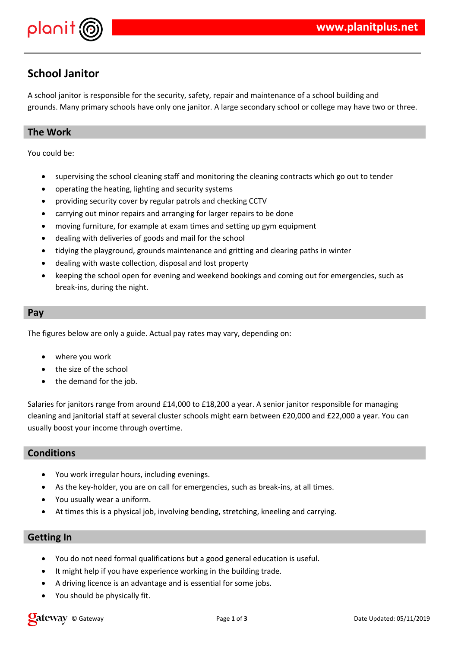

# **School Janitor**

A school janitor is responsible for the security, safety, repair and maintenance of a school building and grounds. Many primary schools have only one janitor. A large secondary school or college may have two or three.

### **The Work**

You could be:

- supervising the school cleaning staff and monitoring the cleaning contracts which go out to tender
- operating the heating, lighting and security systems
- providing security cover by regular patrols and checking CCTV
- carrying out minor repairs and arranging for larger repairs to be done
- moving furniture, for example at exam times and setting up gym equipment
- dealing with deliveries of goods and mail for the school
- tidying the playground, grounds maintenance and gritting and clearing paths in winter
- dealing with waste collection, disposal and lost property
- keeping the school open for evening and weekend bookings and coming out for emergencies, such as break-ins, during the night.

#### **Pay**

The figures below are only a guide. Actual pay rates may vary, depending on:

- where you work
- the size of the school
- the demand for the job.

Salaries for janitors range from around £14,000 to £18,200 a year. A senior janitor responsible for managing cleaning and janitorial staff at several cluster schools might earn between £20,000 and £22,000 a year. You can usually boost your income through overtime.

#### **Conditions**

- You work irregular hours, including evenings.
- As the key-holder, you are on call for emergencies, such as break-ins, at all times.
- You usually wear a uniform.
- At times this is a physical job, involving bending, stretching, kneeling and carrying.

#### **Getting In**

- You do not need formal qualifications but a good general education is useful.
- It might help if you have experience working in the building trade.
- A driving licence is an advantage and is essential for some jobs.
- You should be physically fit.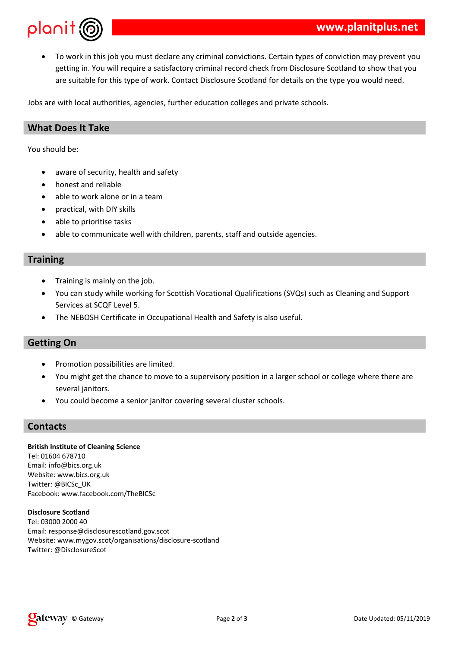

 To work in this job you must declare any criminal convictions. Certain types of conviction may prevent you getting in. You will require a satisfactory criminal record check from Disclosure Scotland to show that you are suitable for this type of work. Contact Disclosure Scotland for details on the type you would need.

Jobs are with local authorities, agencies, further education colleges and private schools.

### **What Does It Take**

You should be:

- aware of security, health and safety
- honest and reliable
- able to work alone or in a team
- practical, with DIY skills
- able to prioritise tasks
- able to communicate well with children, parents, staff and outside agencies.

#### **Training**

- Training is mainly on the job.
- You can study while working for Scottish Vocational Qualifications (SVQs) such as Cleaning and Support Services at SCQF Level 5.
- The NEBOSH Certificate in Occupational Health and Safety is also useful.

#### **Getting On**

- Promotion possibilities are limited.
- You might get the chance to move to a supervisory position in a larger school or college where there are several janitors.
- You could become a senior janitor covering several cluster schools.

#### **Contacts**

**British Institute of Cleaning Science** Tel: 01604 678710 Email: info@bics.org.uk Website: www.bics.org.uk Twitter: @BICSc\_UK Facebook: www.facebook.com/TheBICSc

**Disclosure Scotland** Tel: 03000 2000 40 Email: response@disclosurescotland.gov.scot Website: www.mygov.scot/organisations/disclosure-scotland Twitter: @DisclosureScot